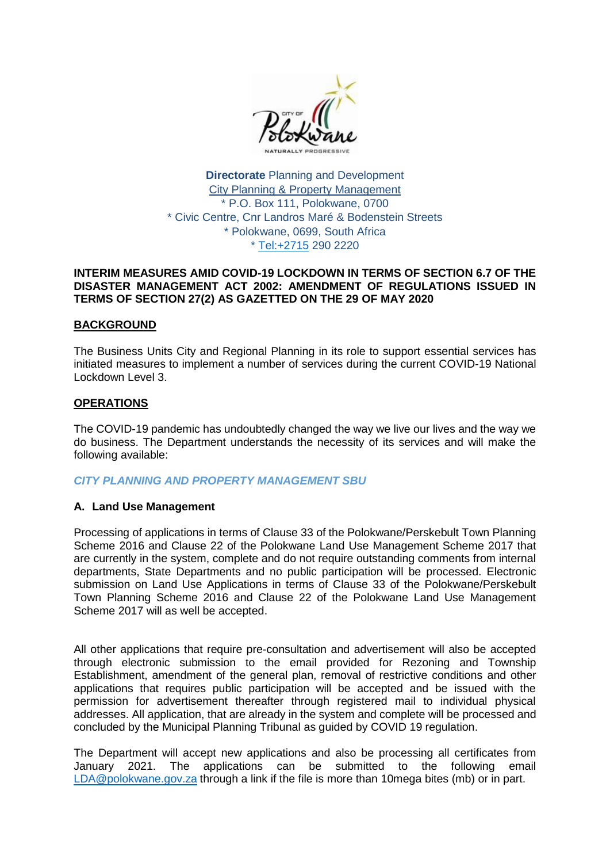

**Directorate** Planning and Development City Planning & Property Management \* P.O. Box 111, Polokwane, 0700 \* Civic Centre, Cnr Landros Maré & Bodenstein Streets \* Polokwane, 0699, South Africa \* [Tel:+2715](tel:+2715) 290 2220

#### **INTERIM MEASURES AMID COVID-19 LOCKDOWN IN TERMS OF SECTION 6.7 OF THE DISASTER MANAGEMENT ACT 2002: AMENDMENT OF REGULATIONS ISSUED IN TERMS OF SECTION 27(2) AS GAZETTED ON THE 29 OF MAY 2020**

#### **BACKGROUND**

The Business Units City and Regional Planning in its role to support essential services has initiated measures to implement a number of services during the current COVID-19 National Lockdown Level 3.

#### **OPERATIONS**

The COVID-19 pandemic has undoubtedly changed the way we live our lives and the way we do business. The Department understands the necessity of its services and will make the following available:

## *CITY PLANNING AND PROPERTY MANAGEMENT SBU*

## **A. Land Use Management**

Processing of applications in terms of Clause 33 of the Polokwane/Perskebult Town Planning Scheme 2016 and Clause 22 of the Polokwane Land Use Management Scheme 2017 that are currently in the system, complete and do not require outstanding comments from internal departments, State Departments and no public participation will be processed. Electronic submission on Land Use Applications in terms of Clause 33 of the Polokwane/Perskebult Town Planning Scheme 2016 and Clause 22 of the Polokwane Land Use Management Scheme 2017 will as well be accepted.

All other applications that require pre-consultation and advertisement will also be accepted through electronic submission to the email provided for Rezoning and Township Establishment, amendment of the general plan, removal of restrictive conditions and other applications that requires public participation will be accepted and be issued with the permission for advertisement thereafter through registered mail to individual physical addresses. All application, that are already in the system and complete will be processed and concluded by the Municipal Planning Tribunal as guided by COVID 19 regulation.

The Department will accept new applications and also be processing all certificates from January 2021. The applications can be submitted to the following email [LDA@polokwane.gov.za](mailto:LDA@polokwane.gov.za) through a link if the file is more than 10mega bites (mb) or in part.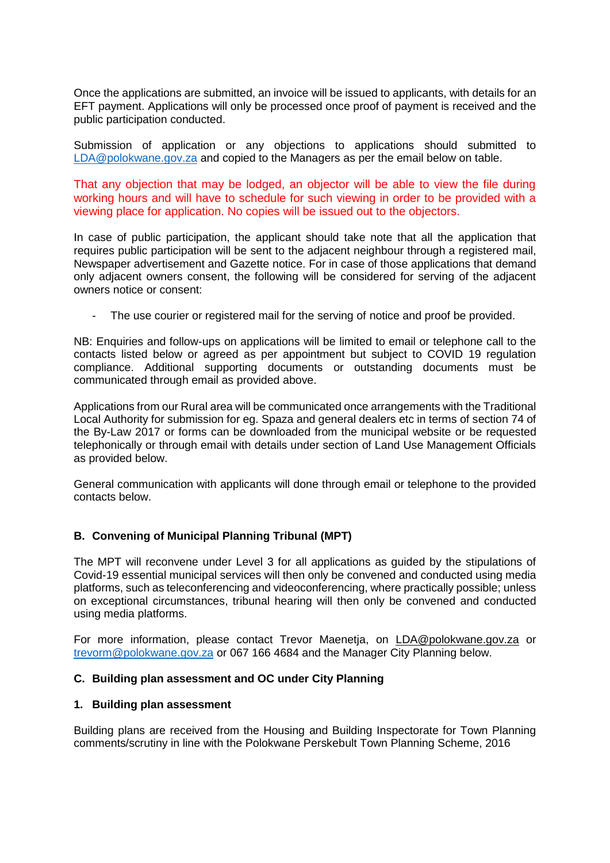Once the applications are submitted, an invoice will be issued to applicants, with details for an EFT payment. Applications will only be processed once proof of payment is received and the public participation conducted.

Submission of application or any objections to applications should submitted to [LDA@polokwane.gov.za](mailto:LDA@polokwane.gov.za) and copied to the Managers as per the email below on table.

That any objection that may be lodged, an objector will be able to view the file during working hours and will have to schedule for such viewing in order to be provided with a viewing place for application. No copies will be issued out to the objectors.

In case of public participation, the applicant should take note that all the application that requires public participation will be sent to the adjacent neighbour through a registered mail, Newspaper advertisement and Gazette notice. For in case of those applications that demand only adjacent owners consent, the following will be considered for serving of the adjacent owners notice or consent:

The use courier or registered mail for the serving of notice and proof be provided.

NB: Enquiries and follow-ups on applications will be limited to email or telephone call to the contacts listed below or agreed as per appointment but subject to COVID 19 regulation compliance. Additional supporting documents or outstanding documents must be communicated through email as provided above.

Applications from our Rural area will be communicated once arrangements with the Traditional Local Authority for submission for eg. Spaza and general dealers etc in terms of section 74 of the By-Law 2017 or forms can be downloaded from the municipal website or be requested telephonically or through email with details under section of Land Use Management Officials as provided below.

General communication with applicants will done through email or telephone to the provided contacts below.

## **B. Convening of Municipal Planning Tribunal (MPT)**

The MPT will reconvene under Level 3 for all applications as guided by the stipulations of Covid-19 essential municipal services will then only be convened and conducted using media platforms, such as teleconferencing and videoconferencing, where practically possible; unless on exceptional circumstances, tribunal hearing will then only be convened and conducted using media platforms.

For more information, please contact Trevor Maenetja, on [LDA@polokwane.gov.za](mailto:LDA@polokwane.gov.za) or [trevorm@polokwane.gov.za](mailto:trevorm@polokwane.gov.za) or 067 166 4684 and the Manager City Planning below.

## **C. Building plan assessment and OC under City Planning**

#### **1. Building plan assessment**

Building plans are received from the Housing and Building Inspectorate for Town Planning comments/scrutiny in line with the Polokwane Perskebult Town Planning Scheme, 2016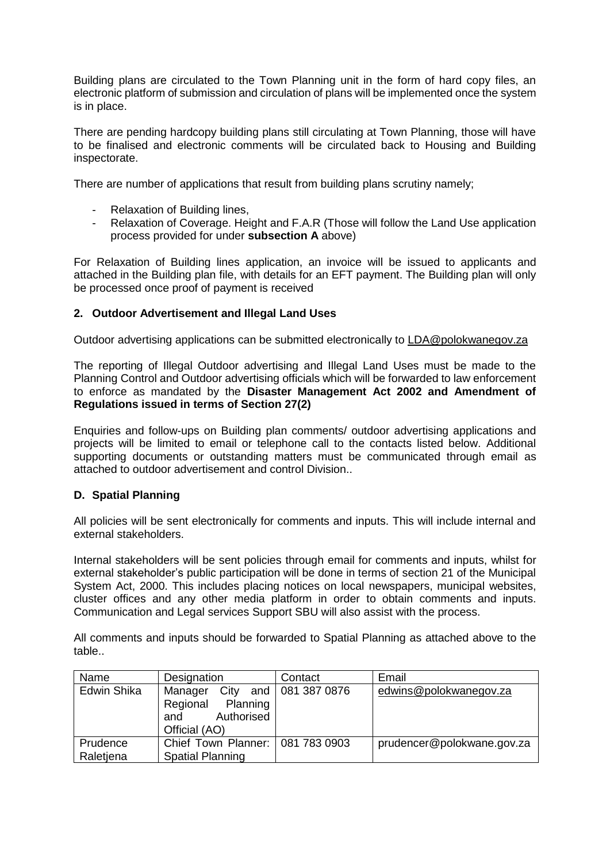Building plans are circulated to the Town Planning unit in the form of hard copy files, an electronic platform of submission and circulation of plans will be implemented once the system is in place.

There are pending hardcopy building plans still circulating at Town Planning, those will have to be finalised and electronic comments will be circulated back to Housing and Building inspectorate.

There are number of applications that result from building plans scrutiny namely;

- Relaxation of Building lines,
- Relaxation of Coverage. Height and F.A.R (Those will follow the Land Use application process provided for under **subsection A** above)

For Relaxation of Building lines application, an invoice will be issued to applicants and attached in the Building plan file, with details for an EFT payment. The Building plan will only be processed once proof of payment is received

## **2. Outdoor Advertisement and Illegal Land Uses**

Outdoor advertising applications can be submitted electronically to [LDA@polokwanegov.za](mailto:LDA@polokwanegov.za)

The reporting of Illegal Outdoor advertising and Illegal Land Uses must be made to the Planning Control and Outdoor advertising officials which will be forwarded to law enforcement to enforce as mandated by the **Disaster Management Act 2002 and Amendment of Regulations issued in terms of Section 27(2)**

Enquiries and follow-ups on Building plan comments/ outdoor advertising applications and projects will be limited to email or telephone call to the contacts listed below. Additional supporting documents or outstanding matters must be communicated through email as attached to outdoor advertisement and control Division..

## **D. Spatial Planning**

All policies will be sent electronically for comments and inputs. This will include internal and external stakeholders.

Internal stakeholders will be sent policies through email for comments and inputs, whilst for external stakeholder's public participation will be done in terms of section 21 of the Municipal System Act, 2000. This includes placing notices on local newspapers, municipal websites, cluster offices and any other media platform in order to obtain comments and inputs. Communication and Legal services Support SBU will also assist with the process.

All comments and inputs should be forwarded to Spatial Planning as attached above to the table..

| Name        | Designation                                                                   | Contact            | Email                      |
|-------------|-------------------------------------------------------------------------------|--------------------|----------------------------|
| Edwin Shika | City<br>Manager<br>Regional<br>Planning<br>Authorised<br>and<br>Official (AO) | and   081 387 0876 | edwins@polokwanegov.za     |
|             |                                                                               |                    |                            |
| Prudence    | Chief Town Planner:   081 783 0903                                            |                    | prudencer@polokwane.gov.za |
| Raletiena   | <b>Spatial Planning</b>                                                       |                    |                            |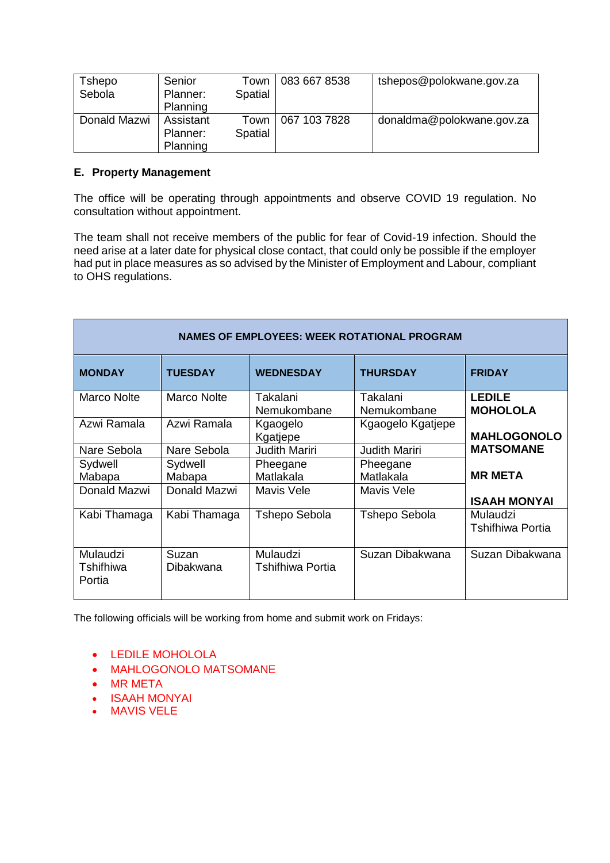| Tshepo       | Senior    | Town    | 083 667 8538 | tshepos@polokwane.gov.za  |
|--------------|-----------|---------|--------------|---------------------------|
| Sebola       | Planner:  | Spatial |              |                           |
|              | Planning  |         |              |                           |
| Donald Mazwi | Assistant | Town    | 067 103 7828 | donaldma@polokwane.gov.za |
|              | Planner:  | Spatial |              |                           |
|              | Planning  |         |              |                           |

# **E. Property Management**

The office will be operating through appointments and observe COVID 19 regulation. No consultation without appointment.

The team shall not receive members of the public for fear of Covid-19 infection. Should the need arise at a later date for physical close contact, that could only be possible if the employer had put in place measures as so advised by the Minister of Employment and Labour, compliant to OHS regulations.

| <b>NAMES OF EMPLOYEES: WEEK ROTATIONAL PROGRAM</b> |                    |                              |                         |                                     |
|----------------------------------------------------|--------------------|------------------------------|-------------------------|-------------------------------------|
| <b>MONDAY</b>                                      | <b>TUESDAY</b>     | <b>WEDNESDAY</b>             | <b>THURSDAY</b>         | <b>FRIDAY</b>                       |
| <b>Marco Nolte</b>                                 | <b>Marco Nolte</b> | Takalani<br>Nemukombane      | Takalani<br>Nemukombane | <b>LEDILE</b><br><b>MOHOLOLA</b>    |
| Azwi Ramala                                        | Azwi Ramala        | Kgaogelo<br>Kgatjepe         | Kgaogelo Kgatjepe       | <b>MAHLOGONOLO</b>                  |
| Nare Sebola                                        | Nare Sebola        | <b>Judith Mariri</b>         | <b>Judith Mariri</b>    | <b>MATSOMANE</b>                    |
| Sydwell                                            | Sydwell            | Pheegane                     | Pheegane                |                                     |
| Mabapa                                             | Mabapa             | Matlakala                    | Matlakala               | <b>MR META</b>                      |
| Donald Mazwi                                       | Donald Mazwi       | Mavis Vele                   | <b>Mavis Vele</b>       | <b>ISAAH MONYAI</b>                 |
| Kabi Thamaga                                       | Kabi Thamaga       | <b>Tshepo Sebola</b>         | <b>Tshepo Sebola</b>    | Mulaudzi<br><b>Tshifhiwa Portia</b> |
| Mulaudzi<br>Tshifhiwa<br>Portia                    | Suzan<br>Dibakwana | Mulaudzi<br>Tshifhiwa Portia | Suzan Dibakwana         | Suzan Dibakwana                     |

The following officials will be working from home and submit work on Fridays:

- LEDILE MOHOLOLA
- MAHLOGONOLO MATSOMANE
- MR META
- **ISAAH MONYAI**
- MAVIS VELE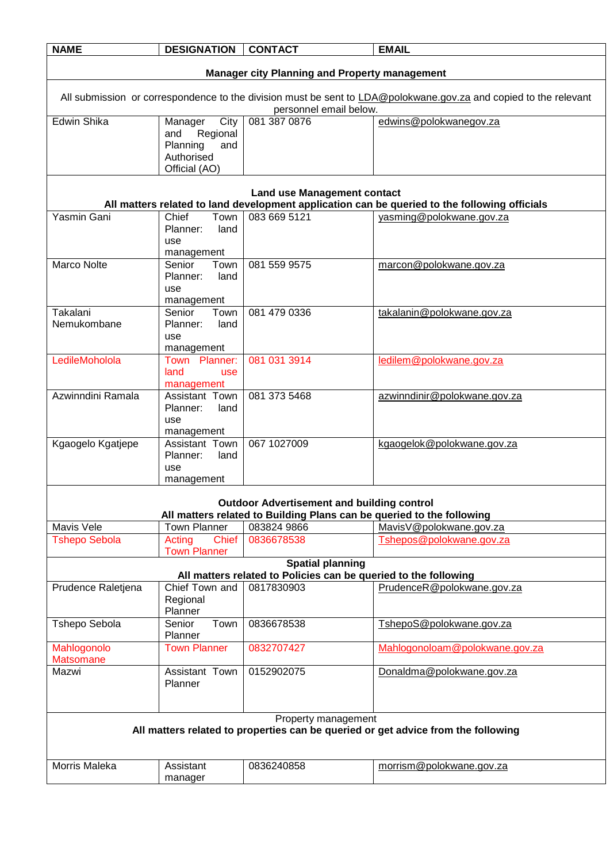| <b>NAME</b>                                                                                                                                | <b>DESIGNATION</b>                                   | <b>CONTACT</b>                                                        | <b>EMAIL</b>                                                                                  |  |
|--------------------------------------------------------------------------------------------------------------------------------------------|------------------------------------------------------|-----------------------------------------------------------------------|-----------------------------------------------------------------------------------------------|--|
|                                                                                                                                            |                                                      |                                                                       |                                                                                               |  |
|                                                                                                                                            | <b>Manager city Planning and Property management</b> |                                                                       |                                                                                               |  |
| All submission or correspondence to the division must be sent to LDA@polokwane.gov.za and copied to the relevant<br>personnel email below. |                                                      |                                                                       |                                                                                               |  |
| Edwin Shika                                                                                                                                | City<br>Manager                                      | 081 387 0876                                                          | edwins@polokwanegov.za                                                                        |  |
|                                                                                                                                            | and<br>Regional                                      |                                                                       |                                                                                               |  |
|                                                                                                                                            | Planning<br>and<br>Authorised                        |                                                                       |                                                                                               |  |
|                                                                                                                                            | Official (AO)                                        |                                                                       |                                                                                               |  |
|                                                                                                                                            |                                                      |                                                                       |                                                                                               |  |
|                                                                                                                                            |                                                      | <b>Land use Management contact</b>                                    | All matters related to land development application can be queried to the following officials |  |
| Yasmin Gani                                                                                                                                | Chief<br>Town                                        | 083 669 5121                                                          | vasming@polokwane.gov.za                                                                      |  |
|                                                                                                                                            | Planner:<br>land                                     |                                                                       |                                                                                               |  |
|                                                                                                                                            | use                                                  |                                                                       |                                                                                               |  |
|                                                                                                                                            | management                                           |                                                                       |                                                                                               |  |
| <b>Marco Nolte</b>                                                                                                                         | Senior<br>Town<br>Planner:<br>land                   | 081 559 9575                                                          | marcon@polokwane.gov.za                                                                       |  |
|                                                                                                                                            | use                                                  |                                                                       |                                                                                               |  |
|                                                                                                                                            | management                                           |                                                                       |                                                                                               |  |
| Takalani                                                                                                                                   | Senior<br>Town                                       | 081 479 0336                                                          | takalanin@polokwane.gov.za                                                                    |  |
| Nemukombane                                                                                                                                | Planner:<br>land                                     |                                                                       |                                                                                               |  |
|                                                                                                                                            | use<br>management                                    |                                                                       |                                                                                               |  |
| LedileMoholola                                                                                                                             | Town Planner:                                        | 081 031 3914                                                          | ledilem@polokwane.gov.za                                                                      |  |
|                                                                                                                                            | land<br>use                                          |                                                                       |                                                                                               |  |
|                                                                                                                                            | management                                           |                                                                       |                                                                                               |  |
| Azwinndini Ramala                                                                                                                          | Assistant Town                                       | 081 373 5468                                                          | azwinndinir@polokwane.gov.za                                                                  |  |
|                                                                                                                                            | Planner:<br>land<br>use                              |                                                                       |                                                                                               |  |
|                                                                                                                                            | management                                           |                                                                       |                                                                                               |  |
| Kgaogelo Kgatjepe                                                                                                                          | Assistant Town                                       | 067 1027009                                                           | kgaogelok@polokwane.gov.za                                                                    |  |
|                                                                                                                                            | Planner:<br>land                                     |                                                                       |                                                                                               |  |
|                                                                                                                                            | use                                                  |                                                                       |                                                                                               |  |
|                                                                                                                                            | management                                           |                                                                       |                                                                                               |  |
|                                                                                                                                            |                                                      | <b>Outdoor Advertisement and building control</b>                     |                                                                                               |  |
|                                                                                                                                            |                                                      | All matters related to Building Plans can be queried to the following |                                                                                               |  |
| Mavis Vele                                                                                                                                 | <b>Town Planner</b>                                  | 083824 9866                                                           | Mavis V@polokwane.gov.za                                                                      |  |
| <b>Tshepo Sebola</b>                                                                                                                       | Acting<br><b>Chief</b>                               | 0836678538                                                            | Tshepos@polokwane.gov.za                                                                      |  |
| <b>Town Planner</b><br><b>Spatial planning</b>                                                                                             |                                                      |                                                                       |                                                                                               |  |
|                                                                                                                                            |                                                      | All matters related to Policies can be queried to the following       |                                                                                               |  |
| Prudence Raletjena                                                                                                                         | Chief Town and                                       | 0817830903                                                            | PrudenceR@polokwane.gov.za                                                                    |  |
|                                                                                                                                            | Regional                                             |                                                                       |                                                                                               |  |
| Tshepo Sebola                                                                                                                              | Planner<br>Town<br>Senior                            | 0836678538                                                            | TshepoS@polokwane.gov.za                                                                      |  |
|                                                                                                                                            | Planner                                              |                                                                       |                                                                                               |  |
| Mahlogonolo                                                                                                                                | <b>Town Planner</b>                                  | 0832707427                                                            | Mahlogonoloam@polokwane.gov.za                                                                |  |
| <b>Matsomane</b>                                                                                                                           |                                                      |                                                                       |                                                                                               |  |
| Mazwi                                                                                                                                      | Assistant Town                                       | 0152902075                                                            | Donaldma@polokwane.gov.za                                                                     |  |
|                                                                                                                                            | Planner                                              |                                                                       |                                                                                               |  |
|                                                                                                                                            |                                                      |                                                                       |                                                                                               |  |
| Property management                                                                                                                        |                                                      |                                                                       |                                                                                               |  |
| All matters related to properties can be queried or get advice from the following                                                          |                                                      |                                                                       |                                                                                               |  |
|                                                                                                                                            |                                                      |                                                                       |                                                                                               |  |
| Morris Maleka                                                                                                                              | Assistant                                            | 0836240858                                                            | morrism@polokwane.gov.za                                                                      |  |
|                                                                                                                                            | manager                                              |                                                                       |                                                                                               |  |